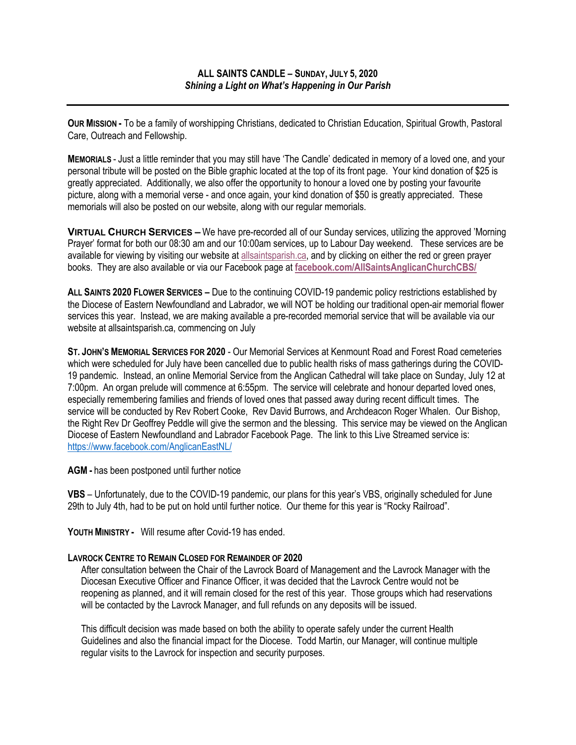**OUR MISSION -** To be a family of worshipping Christians, dedicated to Christian Education, Spiritual Growth, Pastoral Care, Outreach and Fellowship.

**MEMORIALS** - Just a little reminder that you may still have 'The Candle' dedicated in memory of a loved one, and your personal tribute will be posted on the Bible graphic located at the top of its front page. Your kind donation of \$25 is greatly appreciated. Additionally, we also offer the opportunity to honour a loved one by posting your favourite picture, along with a memorial verse - and once again, your kind donation of \$50 is greatly appreciated. These memorials will also be posted on our website, along with our regular memorials.

**VIRTUAL CHURCH SERVICES –** We have pre-recorded all of our Sunday services, utilizing the approved 'Morning Prayer' format for both our 08:30 am and our 10:00am services, up to Labour Day weekend. These services are be available for viewing by visiting our website at allsaintsparish.ca, and by clicking on either the red or green prayer books. They are also available or via our Facebook page at **facebook.com/AllSaintsAnglicanChurchCBS/**

**ALL SAINTS 2020 FLOWER SERVICES –** Due to the continuing COVID-19 pandemic policy restrictions established by the Diocese of Eastern Newfoundland and Labrador, we will NOT be holding our traditional open-air memorial flower services this year. Instead, we are making available a pre-recorded memorial service that will be available via our website at allsaintsparish.ca, commencing on July

**ST. JOHN'S MEMORIAL SERVICES FOR 2020** - Our Memorial Services at Kenmount Road and Forest Road cemeteries which were scheduled for July have been cancelled due to public health risks of mass gatherings during the COVID-19 pandemic. Instead, an online Memorial Service from the Anglican Cathedral will take place on Sunday, July 12 at 7:00pm. An organ prelude will commence at 6:55pm. The service will celebrate and honour departed loved ones, especially remembering families and friends of loved ones that passed away during recent difficult times. The service will be conducted by Rev Robert Cooke, Rev David Burrows, and Archdeacon Roger Whalen. Our Bishop, the Right Rev Dr Geoffrey Peddle will give the sermon and the blessing. This service may be viewed on the Anglican Diocese of Eastern Newfoundland and Labrador Facebook Page. The link to this Live Streamed service is: https://www.facebook.com/AnglicanEastNL/

**AGM -** has been postponed until further notice

**VBS** – Unfortunately, due to the COVID-19 pandemic, our plans for this year's VBS, originally scheduled for June 29th to July 4th, had to be put on hold until further notice. Our theme for this year is "Rocky Railroad".

**YOUTH MINISTRY -** Will resume after Covid-19 has ended.

## **LAVROCK CENTRE TO REMAIN CLOSED FOR REMAINDER OF 2020**

After consultation between the Chair of the Lavrock Board of Management and the Lavrock Manager with the Diocesan Executive Officer and Finance Officer, it was decided that the Lavrock Centre would not be reopening as planned, and it will remain closed for the rest of this year. Those groups which had reservations will be contacted by the Lavrock Manager, and full refunds on any deposits will be issued.

This difficult decision was made based on both the ability to operate safely under the current Health Guidelines and also the financial impact for the Diocese. Todd Martin, our Manager, will continue multiple regular visits to the Lavrock for inspection and security purposes.